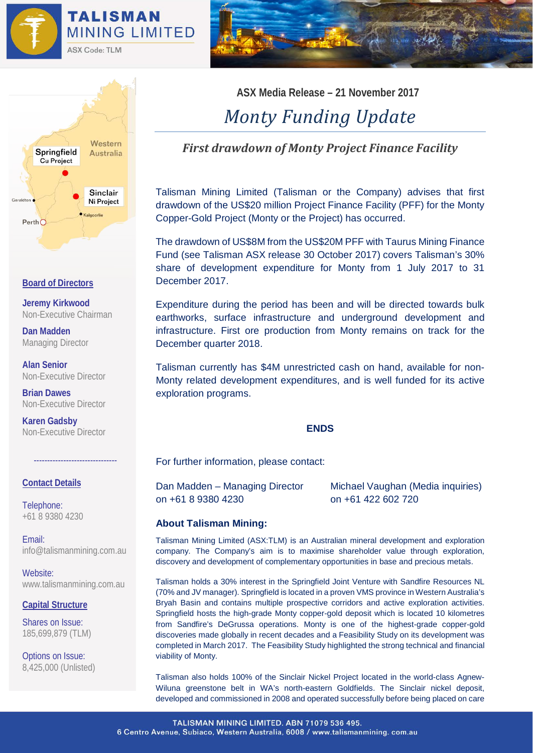



### **Board of Directors**

**Jeremy Kirkwood** Non-Executive Chairman

**Dan Madden** Managing Director

**Alan Senior** Non-Executive Director

**Brian Dawes** Non-Executive Director

**Karen Gadsby** Non-Executive Director

# **Contact Details**

Telephone: +61 8 9380 4230

Email: [info@talismanmining.com.au](mailto:info@talismanmining.com.au)

-------------------------------

Website: www.talismanmining.com.au

# **Capital Structure**

Shares on Issue: 185,699,879 (TLM)

Options on Issue: 8,425,000 (Unlisted) **ASX Media Release – 21 November 2017**

# *Monty Funding Update*

# *First drawdown of Monty Project Finance Facility*

Talisman Mining Limited (Talisman or the Company) advises that first drawdown of the US\$20 million Project Finance Facility (PFF) for the Monty Copper-Gold Project (Monty or the Project) has occurred.

The drawdown of US\$8M from the US\$20M PFF with Taurus Mining Finance Fund (see Talisman ASX release 30 October 2017) covers Talisman's 30% share of development expenditure for Monty from 1 July 2017 to 31 December 2017.

Expenditure during the period has been and will be directed towards bulk earthworks, surface infrastructure and underground development and infrastructure. First ore production from Monty remains on track for the December quarter 2018.

Talisman currently has \$4M unrestricted cash on hand, available for non-Monty related development expenditures, and is well funded for its active exploration programs.

#### **ENDS**

For further information, please contact:

on +61 8 9380 4230 on +61 422 602 720

Dan Madden – Managing Director Michael Vaughan (Media inquiries)

# **About Talisman Mining:**

Talisman Mining Limited (ASX:TLM) is an Australian mineral development and exploration company. The Company's aim is to maximise shareholder value through exploration, discovery and development of complementary opportunities in base and precious metals.

Talisman holds a 30% interest in the Springfield Joint Venture with Sandfire Resources NL (70% and JV manager). Springfield is located in a proven VMS province in Western Australia's Bryah Basin and contains multiple prospective corridors and active exploration activities. Springfield hosts the high-grade Monty copper-gold deposit which is located 10 kilometres from Sandfire's DeGrussa operations. Monty is one of the highest-grade copper-gold discoveries made globally in recent decades and a Feasibility Study on its development was completed in March 2017. The Feasibility Study highlighted the strong technical and financial viability of Monty.

Talisman also holds 100% of the Sinclair Nickel Project located in the world-class Agnew-Wiluna greenstone belt in WA's north-eastern Goldfields. The Sinclair nickel deposit, developed and commissioned in 2008 and operated successfully before being placed on care